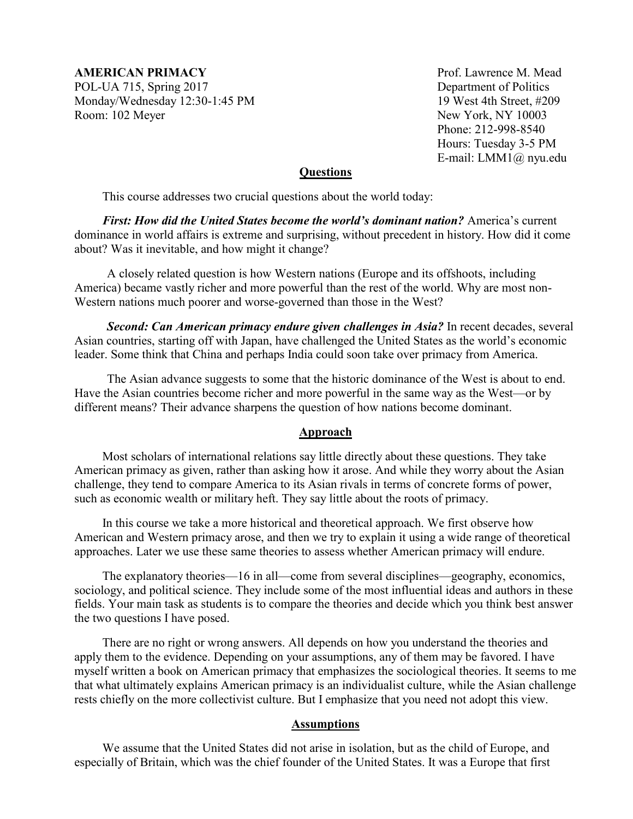**AMERICAN PRIMACY Prof. Lawrence M. Mead** POL-UA 715, Spring 2017 Department of Politics Monday/Wednesday 12:30-1:45 PM 19 West 4th Street, #209 Room: 102 Meyer New York, NY 10003

Phone: 212-998-8540 Hours: Tuesday 3-5 PM E-mail: LMM1@ nyu.edu

#### **Questions**

This course addresses two crucial questions about the world today:

*First: How did the United States become the world's dominant nation?* America's current dominance in world affairs is extreme and surprising, without precedent in history. How did it come about? Was it inevitable, and how might it change?

A closely related question is how Western nations (Europe and its offshoots, including America) became vastly richer and more powerful than the rest of the world. Why are most non-Western nations much poorer and worse-governed than those in the West?

*Second: Can American primacy endure given challenges in Asia?* In recent decades, several Asian countries, starting off with Japan, have challenged the United States as the world's economic leader. Some think that China and perhaps India could soon take over primacy from America.

The Asian advance suggests to some that the historic dominance of the West is about to end. Have the Asian countries become richer and more powerful in the same way as the West—or by different means? Their advance sharpens the question of how nations become dominant.

#### **Approach**

Most scholars of international relations say little directly about these questions. They take American primacy as given, rather than asking how it arose. And while they worry about the Asian challenge, they tend to compare America to its Asian rivals in terms of concrete forms of power, such as economic wealth or military heft. They say little about the roots of primacy.

In this course we take a more historical and theoretical approach. We first observe how American and Western primacy arose, and then we try to explain it using a wide range of theoretical approaches. Later we use these same theories to assess whether American primacy will endure.

The explanatory theories—16 in all—come from several disciplines—geography, economics, sociology, and political science. They include some of the most influential ideas and authors in these fields. Your main task as students is to compare the theories and decide which you think best answer the two questions I have posed.

There are no right or wrong answers. All depends on how you understand the theories and apply them to the evidence. Depending on your assumptions, any of them may be favored. I have myself written a book on American primacy that emphasizes the sociological theories. It seems to me that what ultimately explains American primacy is an individualist culture, while the Asian challenge rests chiefly on the more collectivist culture. But I emphasize that you need not adopt this view.

#### **Assumptions**

We assume that the United States did not arise in isolation, but as the child of Europe, and especially of Britain, which was the chief founder of the United States. It was a Europe that first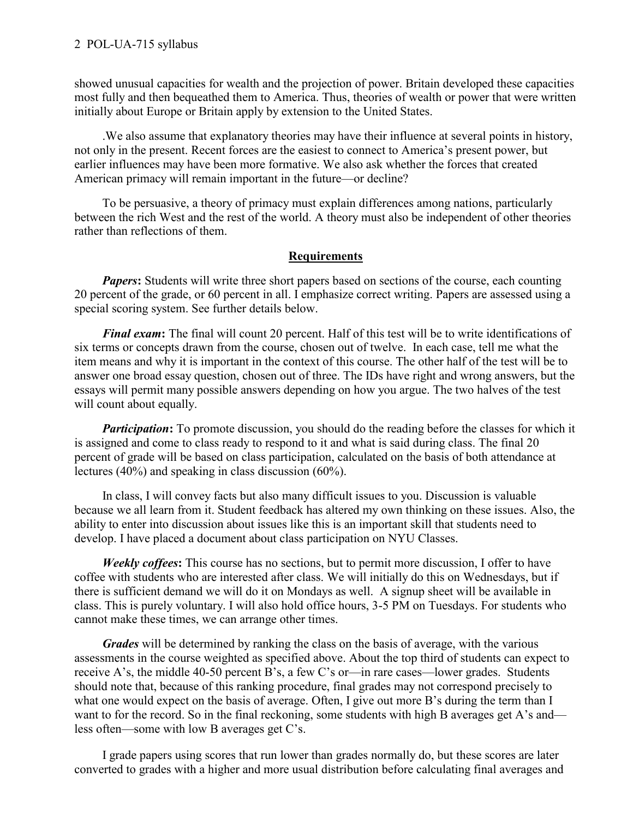showed unusual capacities for wealth and the projection of power. Britain developed these capacities most fully and then bequeathed them to America. Thus, theories of wealth or power that were written initially about Europe or Britain apply by extension to the United States.

.We also assume that explanatory theories may have their influence at several points in history, not only in the present. Recent forces are the easiest to connect to America's present power, but earlier influences may have been more formative. We also ask whether the forces that created American primacy will remain important in the future—or decline?

To be persuasive, a theory of primacy must explain differences among nations, particularly between the rich West and the rest of the world. A theory must also be independent of other theories rather than reflections of them.

### **Requirements**

*Papers*: Students will write three short papers based on sections of the course, each counting 20 percent of the grade, or 60 percent in all. I emphasize correct writing. Papers are assessed using a special scoring system. See further details below.

*Final exam***:** The final will count 20 percent. Half of this test will be to write identifications of six terms or concepts drawn from the course, chosen out of twelve. In each case, tell me what the item means and why it is important in the context of this course. The other half of the test will be to answer one broad essay question, chosen out of three. The IDs have right and wrong answers, but the essays will permit many possible answers depending on how you argue. The two halves of the test will count about equally.

*Participation*: To promote discussion, you should do the reading before the classes for which it is assigned and come to class ready to respond to it and what is said during class. The final 20 percent of grade will be based on class participation, calculated on the basis of both attendance at lectures (40%) and speaking in class discussion (60%).

In class, I will convey facts but also many difficult issues to you. Discussion is valuable because we all learn from it. Student feedback has altered my own thinking on these issues. Also, the ability to enter into discussion about issues like this is an important skill that students need to develop. I have placed a document about class participation on NYU Classes.

*Weekly coffees***:** This course has no sections, but to permit more discussion, I offer to have coffee with students who are interested after class. We will initially do this on Wednesdays, but if there is sufficient demand we will do it on Mondays as well. A signup sheet will be available in class. This is purely voluntary. I will also hold office hours, 3-5 PM on Tuesdays. For students who cannot make these times, we can arrange other times.

*Grades* will be determined by ranking the class on the basis of average, with the various assessments in the course weighted as specified above. About the top third of students can expect to receive A's, the middle 40-50 percent B's, a few C's or—in rare cases—lower grades. Students should note that, because of this ranking procedure, final grades may not correspond precisely to what one would expect on the basis of average. Often, I give out more B's during the term than I want to for the record. So in the final reckoning, some students with high B averages get A's and less often—some with low B averages get C's.

I grade papers using scores that run lower than grades normally do, but these scores are later converted to grades with a higher and more usual distribution before calculating final averages and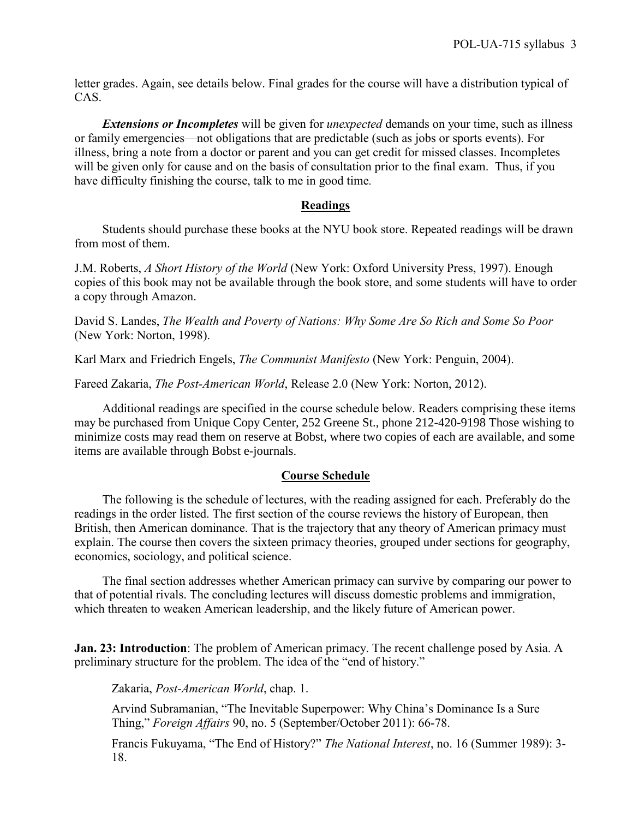letter grades. Again, see details below. Final grades for the course will have a distribution typical of CAS.

*Extensions or Incompletes* will be given for *unexpected* demands on your time, such as illness or family emergencies—not obligations that are predictable (such as jobs or sports events). For illness, bring a note from a doctor or parent and you can get credit for missed classes. Incompletes will be given only for cause and on the basis of consultation prior to the final exam. Thus, if you have difficulty finishing the course, talk to me in good time*.*

#### **Readings**

Students should purchase these books at the NYU book store. Repeated readings will be drawn from most of them.

J.M. Roberts, *A Short History of the World* (New York: Oxford University Press, 1997). Enough copies of this book may not be available through the book store, and some students will have to order a copy through Amazon.

David S. Landes, *The Wealth and Poverty of Nations: Why Some Are So Rich and Some So Poor* (New York: Norton, 1998).

Karl Marx and Friedrich Engels, *The Communist Manifesto* (New York: Penguin, 2004).

Fareed Zakaria, *The Post-American World*, Release 2.0 (New York: Norton, 2012).

Additional readings are specified in the course schedule below. Readers comprising these items may be purchased from Unique Copy Center, 252 Greene St., phone 212-420-9198 Those wishing to minimize costs may read them on reserve at Bobst, where two copies of each are available, and some items are available through Bobst e-journals.

### **Course Schedule**

The following is the schedule of lectures, with the reading assigned for each. Preferably do the readings in the order listed. The first section of the course reviews the history of European, then British, then American dominance. That is the trajectory that any theory of American primacy must explain. The course then covers the sixteen primacy theories, grouped under sections for geography, economics, sociology, and political science.

The final section addresses whether American primacy can survive by comparing our power to that of potential rivals. The concluding lectures will discuss domestic problems and immigration, which threaten to weaken American leadership, and the likely future of American power.

**Jan. 23: Introduction**: The problem of American primacy. The recent challenge posed by Asia. A preliminary structure for the problem. The idea of the "end of history."

Zakaria, *Post-American World*, chap. 1.

Arvind Subramanian, "The Inevitable Superpower: Why China's Dominance Is a Sure Thing," *Foreign Affairs* 90, no. 5 (September/October 2011): 66-78.

Francis Fukuyama, "The End of History?" *The National Interest*, no. 16 (Summer 1989): 3- 18.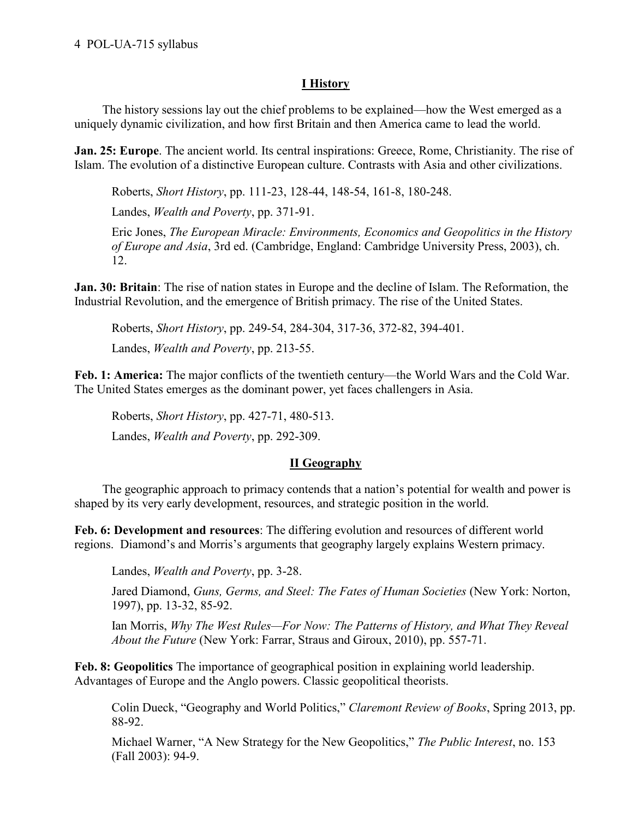# **I History**

The history sessions lay out the chief problems to be explained—how the West emerged as a uniquely dynamic civilization, and how first Britain and then America came to lead the world.

**Jan. 25: Europe**. The ancient world. Its central inspirations: Greece, Rome, Christianity. The rise of Islam. The evolution of a distinctive European culture. Contrasts with Asia and other civilizations.

Roberts, *Short History*, pp. 111-23, 128-44, 148-54, 161-8, 180-248.

Landes, *Wealth and Poverty*, pp. 371-91.

Eric Jones, *The European Miracle: Environments, Economics and Geopolitics in the History of Europe and Asia*, 3rd ed. (Cambridge, England: Cambridge University Press, 2003), ch. 12.

**Jan. 30: Britain**: The rise of nation states in Europe and the decline of Islam. The Reformation, the Industrial Revolution, and the emergence of British primacy. The rise of the United States.

Roberts, *Short History*, pp. 249-54, 284-304, 317-36, 372-82, 394-401.

Landes, *Wealth and Poverty*, pp. 213-55.

**Feb. 1: America:** The major conflicts of the twentieth century—the World Wars and the Cold War. The United States emerges as the dominant power, yet faces challengers in Asia.

Roberts, *Short History*, pp. 427-71, 480-513.

Landes, *Wealth and Poverty*, pp. 292-309.

# **II Geography**

The geographic approach to primacy contends that a nation's potential for wealth and power is shaped by its very early development, resources, and strategic position in the world.

**Feb. 6: Development and resources**: The differing evolution and resources of different world regions. Diamond's and Morris's arguments that geography largely explains Western primacy.

Landes, *Wealth and Poverty*, pp. 3-28.

Jared Diamond, *Guns, Germs, and Steel: The Fates of Human Societies* (New York: Norton, 1997), pp. 13-32, 85-92.

Ian Morris, *Why The West Rules—For Now: The Patterns of History, and What They Reveal About the Future* (New York: Farrar, Straus and Giroux, 2010), pp. 557-71.

**Feb. 8: Geopolitics** The importance of geographical position in explaining world leadership. Advantages of Europe and the Anglo powers. Classic geopolitical theorists.

Colin Dueck, "Geography and World Politics," *Claremont Review of Books*, Spring 2013, pp. 88-92.

Michael Warner, "A New Strategy for the New Geopolitics," *The Public Interest*, no. 153 (Fall 2003): 94-9.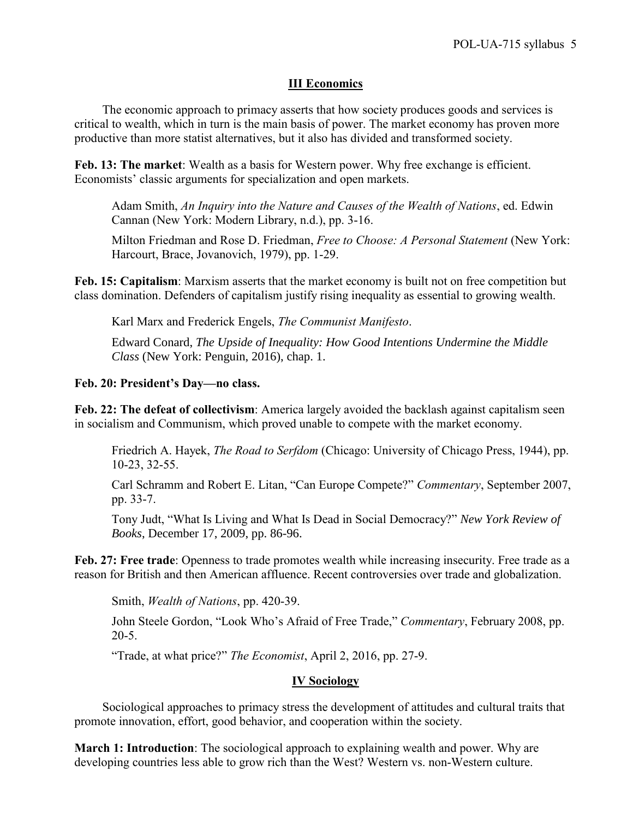## **III Economics**

The economic approach to primacy asserts that how society produces goods and services is critical to wealth, which in turn is the main basis of power. The market economy has proven more productive than more statist alternatives, but it also has divided and transformed society.

Feb. 13: The market: Wealth as a basis for Western power. Why free exchange is efficient. Economists' classic arguments for specialization and open markets.

Adam Smith, *An Inquiry into the Nature and Causes of the Wealth of Nations*, ed. Edwin Cannan (New York: Modern Library, n.d.), pp. 3-16.

Milton Friedman and Rose D. Friedman, *Free to Choose: A Personal Statement* (New York: Harcourt, Brace, Jovanovich, 1979), pp. 1-29.

**Feb. 15: Capitalism**: Marxism asserts that the market economy is built not on free competition but class domination. Defenders of capitalism justify rising inequality as essential to growing wealth.

Karl Marx and Frederick Engels, *The Communist Manifesto*.

Edward Conard, *The Upside of Inequality: How Good Intentions Undermine the Middle Class* (New York: Penguin, 2016), chap. 1.

#### **Feb. 20: President's Day—no class.**

**Feb. 22: The defeat of collectivism**: America largely avoided the backlash against capitalism seen in socialism and Communism, which proved unable to compete with the market economy.

Friedrich A. Hayek, *The Road to Serfdom* (Chicago: University of Chicago Press, 1944), pp. 10-23, 32-55.

Carl Schramm and Robert E. Litan, "Can Europe Compete?" *Commentary*, September 2007, pp. 33-7.

Tony Judt, "What Is Living and What Is Dead in Social Democracy?" *New York Review of Books*, December 17, 2009, pp. 86-96.

**Feb. 27: Free trade**: Openness to trade promotes wealth while increasing insecurity. Free trade as a reason for British and then American affluence. Recent controversies over trade and globalization.

Smith, *Wealth of Nations*, pp. 420-39.

John Steele Gordon, "Look Who's Afraid of Free Trade," *Commentary*, February 2008, pp. 20-5.

"Trade, at what price?" *The Economist*, April 2, 2016, pp. 27-9.

### **IV Sociology**

Sociological approaches to primacy stress the development of attitudes and cultural traits that promote innovation, effort, good behavior, and cooperation within the society.

**March 1: Introduction**: The sociological approach to explaining wealth and power. Why are developing countries less able to grow rich than the West? Western vs. non-Western culture.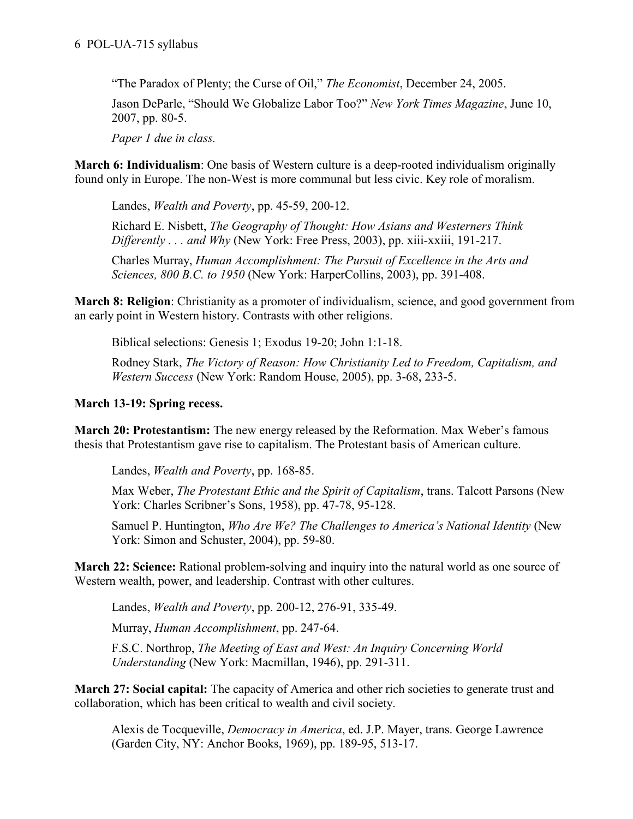"The Paradox of Plenty; the Curse of Oil," *The Economist*, December 24, 2005.

Jason DeParle, "Should We Globalize Labor Too?" *New York Times Magazine*, June 10, 2007, pp. 80-5.

*Paper 1 due in class.*

**March 6: Individualism**: One basis of Western culture is a deep-rooted individualism originally found only in Europe. The non-West is more communal but less civic. Key role of moralism.

Landes, *Wealth and Poverty*, pp. 45-59, 200-12.

Richard E. Nisbett, *The Geography of Thought: How Asians and Westerners Think Differently . . . and Why* (New York: Free Press, 2003), pp. xiii-xxiii, 191-217.

Charles Murray, *Human Accomplishment: The Pursuit of Excellence in the Arts and Sciences, 800 B.C. to 1950* (New York: HarperCollins, 2003), pp. 391-408.

**March 8: Religion**: Christianity as a promoter of individualism, science, and good government from an early point in Western history. Contrasts with other religions.

Biblical selections: Genesis 1; Exodus 19-20; John 1:1-18.

Rodney Stark, *The Victory of Reason: How Christianity Led to Freedom, Capitalism, and Western Success* (New York: Random House, 2005), pp. 3-68, 233-5.

# **March 13-19: Spring recess.**

**March 20: Protestantism:** The new energy released by the Reformation. Max Weber's famous thesis that Protestantism gave rise to capitalism. The Protestant basis of American culture.

Landes, *Wealth and Poverty*, pp. 168-85.

Max Weber, *The Protestant Ethic and the Spirit of Capitalism*, trans. Talcott Parsons (New York: Charles Scribner's Sons, 1958), pp. 47-78, 95-128.

Samuel P. Huntington, *Who Are We? The Challenges to America's National Identity* (New York: Simon and Schuster, 2004), pp. 59-80.

**March 22: Science:** Rational problem-solving and inquiry into the natural world as one source of Western wealth, power, and leadership. Contrast with other cultures.

Landes, *Wealth and Poverty*, pp. 200-12, 276-91, 335-49.

Murray, *Human Accomplishment*, pp. 247-64.

F.S.C. Northrop, *The Meeting of East and West: An Inquiry Concerning World Understanding* (New York: Macmillan, 1946), pp. 291-311.

**March 27: Social capital:** The capacity of America and other rich societies to generate trust and collaboration, which has been critical to wealth and civil society.

Alexis de Tocqueville, *Democracy in America*, ed. J.P. Mayer, trans. George Lawrence (Garden City, NY: Anchor Books, 1969), pp. 189-95, 513-17.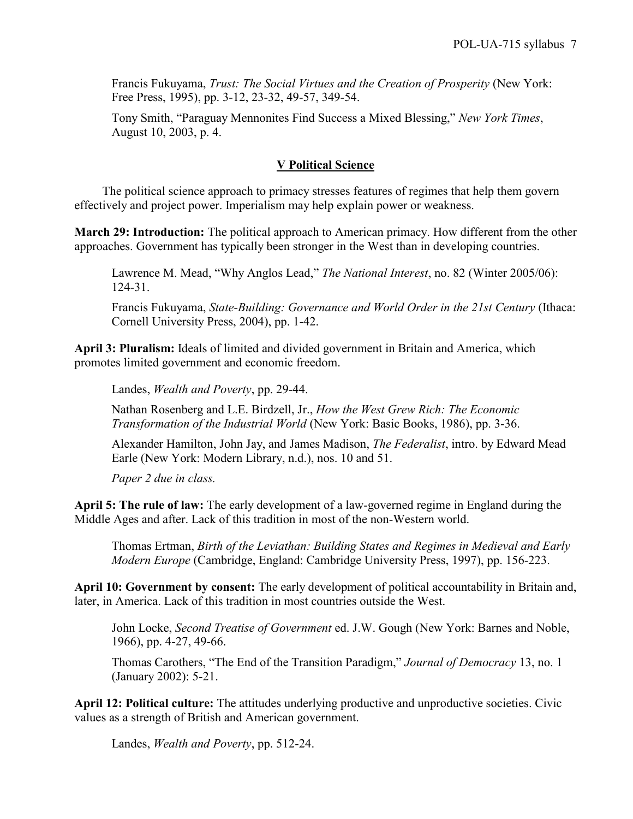Francis Fukuyama, *Trust: The Social Virtues and the Creation of Prosperity* (New York: Free Press, 1995), pp. 3-12, 23-32, 49-57, 349-54.

Tony Smith, "Paraguay Mennonites Find Success a Mixed Blessing," *New York Times*, August 10, 2003, p. 4.

### **V Political Science**

The political science approach to primacy stresses features of regimes that help them govern effectively and project power. Imperialism may help explain power or weakness.

**March 29: Introduction:** The political approach to American primacy. How different from the other approaches. Government has typically been stronger in the West than in developing countries.

Lawrence M. Mead, "Why Anglos Lead," *The National Interest*, no. 82 (Winter 2005/06): 124-31.

Francis Fukuyama, *State-Building: Governance and World Order in the 21st Century* (Ithaca: Cornell University Press, 2004), pp. 1-42.

**April 3: Pluralism:** Ideals of limited and divided government in Britain and America, which promotes limited government and economic freedom.

Landes, *Wealth and Poverty*, pp. 29-44.

Nathan Rosenberg and L.E. Birdzell, Jr., *How the West Grew Rich: The Economic Transformation of the Industrial World* (New York: Basic Books, 1986), pp. 3-36.

Alexander Hamilton, John Jay, and James Madison, *The Federalist*, intro. by Edward Mead Earle (New York: Modern Library, n.d.), nos. 10 and 51.

*Paper 2 due in class.*

**April 5: The rule of law:** The early development of a law-governed regime in England during the Middle Ages and after. Lack of this tradition in most of the non-Western world.

Thomas Ertman, *Birth of the Leviathan: Building States and Regimes in Medieval and Early Modern Europe* (Cambridge, England: Cambridge University Press, 1997), pp. 156-223.

**April 10: Government by consent:** The early development of political accountability in Britain and, later, in America. Lack of this tradition in most countries outside the West.

John Locke, *Second Treatise of Government* ed. J.W. Gough (New York: Barnes and Noble, 1966), pp. 4-27, 49-66.

Thomas Carothers, "The End of the Transition Paradigm," *Journal of Democracy* 13, no. 1 (January 2002): 5-21.

**April 12: Political culture:** The attitudes underlying productive and unproductive societies. Civic values as a strength of British and American government.

Landes, *Wealth and Poverty*, pp. 512-24.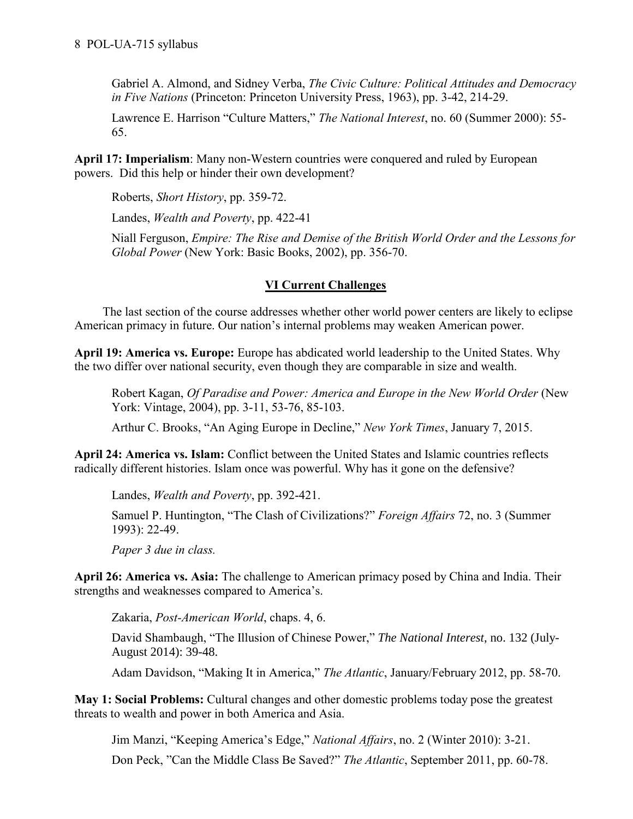Gabriel A. Almond, and Sidney Verba, *The Civic Culture: Political Attitudes and Democracy in Five Nations* (Princeton: Princeton University Press, 1963), pp. 3-42, 214-29.

Lawrence E. Harrison "Culture Matters," *The National Interest*, no. 60 (Summer 2000): 55- 65.

**April 17: Imperialism**: Many non-Western countries were conquered and ruled by European powers. Did this help or hinder their own development?

Roberts, *Short History*, pp. 359-72.

Landes, *Wealth and Poverty*, pp. 422-41

Niall Ferguson, *Empire: The Rise and Demise of the British World Order and the Lessons for Global Power* (New York: Basic Books, 2002), pp. 356-70.

## **VI Current Challenges**

The last section of the course addresses whether other world power centers are likely to eclipse American primacy in future. Our nation's internal problems may weaken American power.

April 19: America vs. Europe: Europe has abdicated world leadership to the United States. Why the two differ over national security, even though they are comparable in size and wealth.

Robert Kagan, *Of Paradise and Power: America and Europe in the New World Order* (New York: Vintage, 2004), pp. 3-11, 53-76, 85-103.

Arthur C. Brooks, "An Aging Europe in Decline," *New York Times*, January 7, 2015.

**April 24: America vs. Islam:** Conflict between the United States and Islamic countries reflects radically different histories. Islam once was powerful. Why has it gone on the defensive?

Landes, *Wealth and Poverty*, pp. 392-421.

Samuel P. Huntington, "The Clash of Civilizations?" *Foreign Affairs* 72, no. 3 (Summer 1993): 22-49.

*Paper 3 due in class.*

**April 26: America vs. Asia:** The challenge to American primacy posed by China and India. Their strengths and weaknesses compared to America's.

Zakaria, *Post-American World*, chaps. 4, 6.

David Shambaugh, "The Illusion of Chinese Power," *The National Interest*, no. 132 (July-August 2014): 39-48.

Adam Davidson, "Making It in America," *The Atlantic*, January/February 2012, pp. 58-70.

**May 1: Social Problems:** Cultural changes and other domestic problems today pose the greatest threats to wealth and power in both America and Asia.

Jim Manzi, "Keeping America's Edge," *National Affairs*, no. 2 (Winter 2010): 3-21.

Don Peck, "Can the Middle Class Be Saved?" *The Atlantic*, September 2011, pp. 60-78.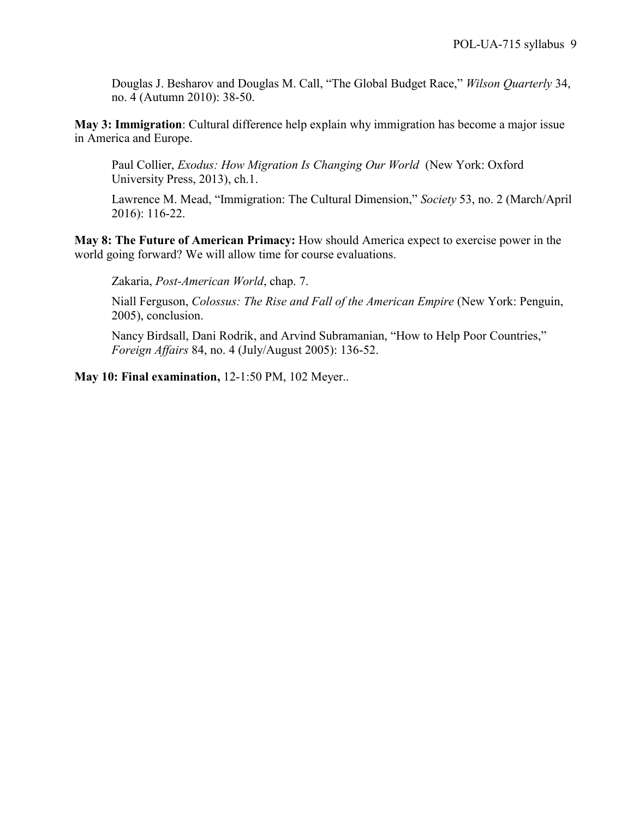Douglas J. Besharov and Douglas M. Call, "The Global Budget Race," *Wilson Quarterly* 34, no. 4 (Autumn 2010): 38-50.

**May 3: Immigration**: Cultural difference help explain why immigration has become a major issue in America and Europe.

Paul Collier, *Exodus: How Migration Is Changing Our World* (New York: Oxford University Press, 2013), ch.1.

Lawrence M. Mead, "Immigration: The Cultural Dimension," *Society* 53, no. 2 (March/April 2016): 116-22.

**May 8: The Future of American Primacy:** How should America expect to exercise power in the world going forward? We will allow time for course evaluations.

Zakaria, *Post-American World*, chap. 7.

Niall Ferguson, *Colossus: The Rise and Fall of the American Empire* (New York: Penguin, 2005), conclusion.

Nancy Birdsall, Dani Rodrik, and Arvind Subramanian, "How to Help Poor Countries," *Foreign Affairs* 84, no. 4 (July/August 2005): 136-52.

**May 10: Final examination,** 12-1:50 PM, 102 Meyer..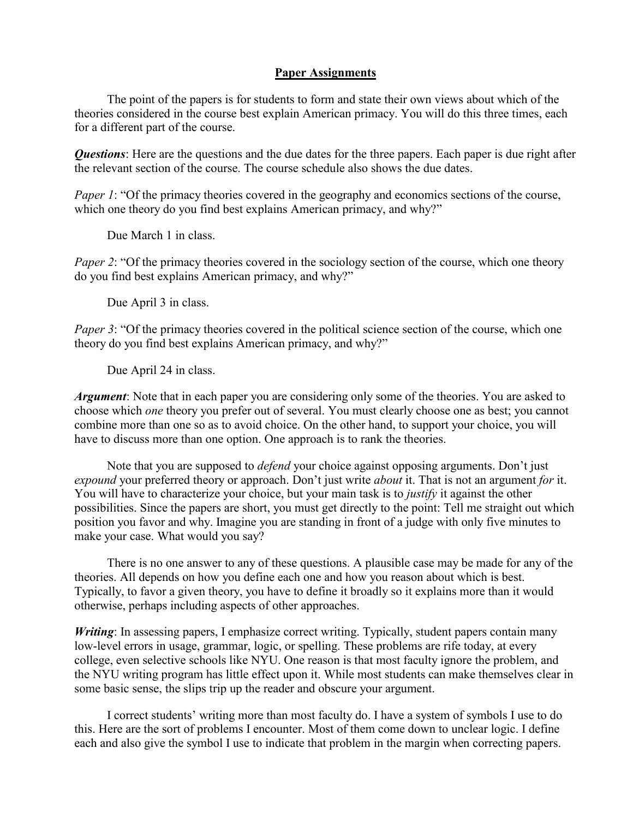#### **Paper Assignments**

The point of the papers is for students to form and state their own views about which of the theories considered in the course best explain American primacy. You will do this three times, each for a different part of the course.

*Questions*: Here are the questions and the due dates for the three papers. Each paper is due right after the relevant section of the course. The course schedule also shows the due dates.

*Paper 1*: "Of the primacy theories covered in the geography and economics sections of the course, which one theory do you find best explains American primacy, and why?"

Due March 1 in class.

*Paper 2*: "Of the primacy theories covered in the sociology section of the course, which one theory do you find best explains American primacy, and why?"

Due April 3 in class.

*Paper 3*: "Of the primacy theories covered in the political science section of the course, which one theory do you find best explains American primacy, and why?"

Due April 24 in class.

*Argument*: Note that in each paper you are considering only some of the theories. You are asked to choose which *one* theory you prefer out of several. You must clearly choose one as best; you cannot combine more than one so as to avoid choice. On the other hand, to support your choice, you will have to discuss more than one option. One approach is to rank the theories.

Note that you are supposed to *defend* your choice against opposing arguments. Don't just *expound* your preferred theory or approach. Don't just write *about* it. That is not an argument *for* it. You will have to characterize your choice, but your main task is to *justify* it against the other possibilities. Since the papers are short, you must get directly to the point: Tell me straight out which position you favor and why. Imagine you are standing in front of a judge with only five minutes to make your case. What would you say?

There is no one answer to any of these questions. A plausible case may be made for any of the theories. All depends on how you define each one and how you reason about which is best. Typically, to favor a given theory, you have to define it broadly so it explains more than it would otherwise, perhaps including aspects of other approaches.

*Writing*: In assessing papers, I emphasize correct writing. Typically, student papers contain many low-level errors in usage, grammar, logic, or spelling. These problems are rife today, at every college, even selective schools like NYU. One reason is that most faculty ignore the problem, and the NYU writing program has little effect upon it. While most students can make themselves clear in some basic sense, the slips trip up the reader and obscure your argument.

I correct students' writing more than most faculty do. I have a system of symbols I use to do this. Here are the sort of problems I encounter. Most of them come down to unclear logic. I define each and also give the symbol I use to indicate that problem in the margin when correcting papers.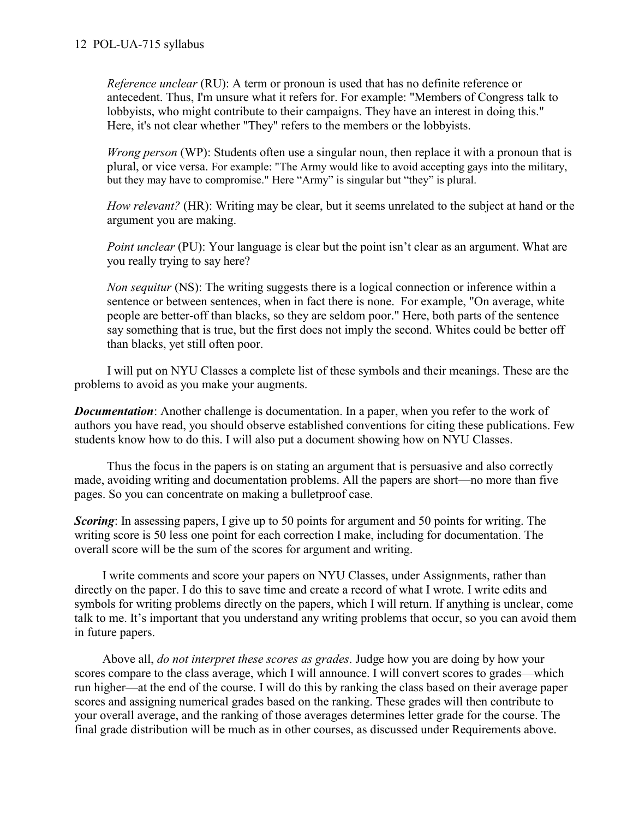*Reference unclear* (RU): A term or pronoun is used that has no definite reference or antecedent. Thus, I'm unsure what it refers for. For example: "Members of Congress talk to lobbyists, who might contribute to their campaigns. They have an interest in doing this." Here, it's not clear whether "They" refers to the members or the lobbyists.

*Wrong person* (WP): Students often use a singular noun, then replace it with a pronoun that is plural, or vice versa. For example: "The Army would like to avoid accepting gays into the military, but they may have to compromise." Here "Army" is singular but "they" is plural.

*How relevant?* (HR): Writing may be clear, but it seems unrelated to the subject at hand or the argument you are making.

*Point unclear* (PU): Your language is clear but the point isn't clear as an argument. What are you really trying to say here?

*Non sequitur* (NS): The writing suggests there is a logical connection or inference within a sentence or between sentences, when in fact there is none. For example, "On average, white people are better-off than blacks, so they are seldom poor." Here, both parts of the sentence say something that is true, but the first does not imply the second. Whites could be better off than blacks, yet still often poor.

I will put on NYU Classes a complete list of these symbols and their meanings. These are the problems to avoid as you make your augments.

*Documentation*: Another challenge is documentation. In a paper, when you refer to the work of authors you have read, you should observe established conventions for citing these publications. Few students know how to do this. I will also put a document showing how on NYU Classes.

Thus the focus in the papers is on stating an argument that is persuasive and also correctly made, avoiding writing and documentation problems. All the papers are short—no more than five pages. So you can concentrate on making a bulletproof case.

**Scoring**: In assessing papers, I give up to 50 points for argument and 50 points for writing. The writing score is 50 less one point for each correction I make, including for documentation. The overall score will be the sum of the scores for argument and writing.

I write comments and score your papers on NYU Classes, under Assignments, rather than directly on the paper. I do this to save time and create a record of what I wrote. I write edits and symbols for writing problems directly on the papers, which I will return. If anything is unclear, come talk to me. It's important that you understand any writing problems that occur, so you can avoid them in future papers.

Above all, *do not interpret these scores as grades*. Judge how you are doing by how your scores compare to the class average, which I will announce. I will convert scores to grades—which run higher—at the end of the course. I will do this by ranking the class based on their average paper scores and assigning numerical grades based on the ranking. These grades will then contribute to your overall average, and the ranking of those averages determines letter grade for the course. The final grade distribution will be much as in other courses, as discussed under Requirements above.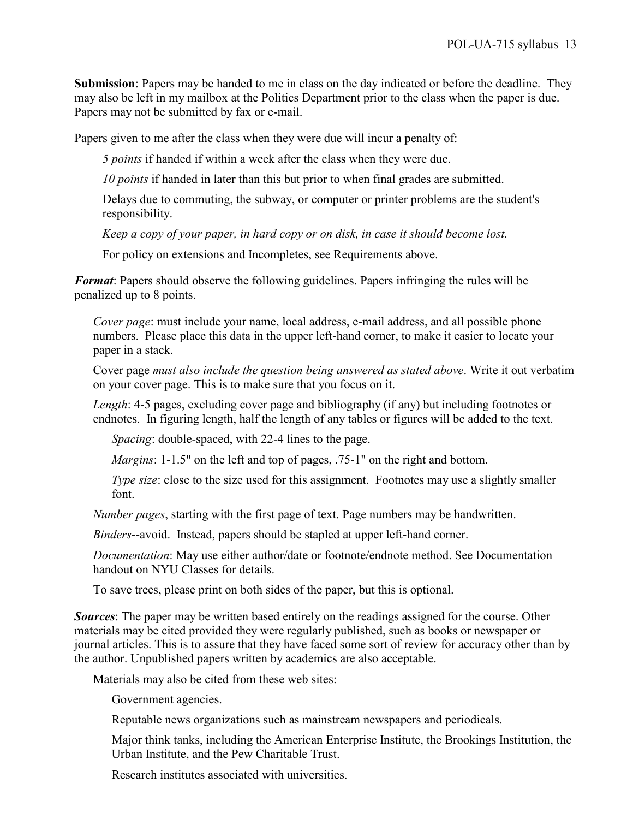**Submission**: Papers may be handed to me in class on the day indicated or before the deadline. They may also be left in my mailbox at the Politics Department prior to the class when the paper is due. Papers may not be submitted by fax or e-mail.

Papers given to me after the class when they were due will incur a penalty of:

*5 points* if handed if within a week after the class when they were due.

*10 points* if handed in later than this but prior to when final grades are submitted.

Delays due to commuting, the subway, or computer or printer problems are the student's responsibility.

*Keep a copy of your paper, in hard copy or on disk, in case it should become lost.*

For policy on extensions and Incompletes, see Requirements above.

*Format*: Papers should observe the following guidelines. Papers infringing the rules will be penalized up to 8 points.

*Cover page*: must include your name, local address, e-mail address, and all possible phone numbers. Please place this data in the upper left-hand corner, to make it easier to locate your paper in a stack.

Cover page *must also include the question being answered as stated above*. Write it out verbatim on your cover page. This is to make sure that you focus on it.

*Length*: 4-5 pages, excluding cover page and bibliography (if any) but including footnotes or endnotes. In figuring length, half the length of any tables or figures will be added to the text.

*Spacing*: double-spaced, with 22-4 lines to the page.

*Margins*: 1-1.5" on the left and top of pages, .75-1" on the right and bottom.

*Type size*: close to the size used for this assignment. Footnotes may use a slightly smaller font.

*Number pages*, starting with the first page of text. Page numbers may be handwritten.

*Binders*--avoid. Instead, papers should be stapled at upper left-hand corner.

*Documentation*: May use either author/date or footnote/endnote method. See Documentation handout on NYU Classes for details.

To save trees, please print on both sides of the paper, but this is optional.

*Sources*: The paper may be written based entirely on the readings assigned for the course. Other materials may be cited provided they were regularly published, such as books or newspaper or journal articles. This is to assure that they have faced some sort of review for accuracy other than by the author. Unpublished papers written by academics are also acceptable.

Materials may also be cited from these web sites:

Government agencies.

Reputable news organizations such as mainstream newspapers and periodicals.

Major think tanks, including the American Enterprise Institute, the Brookings Institution, the Urban Institute, and the Pew Charitable Trust.

Research institutes associated with universities.